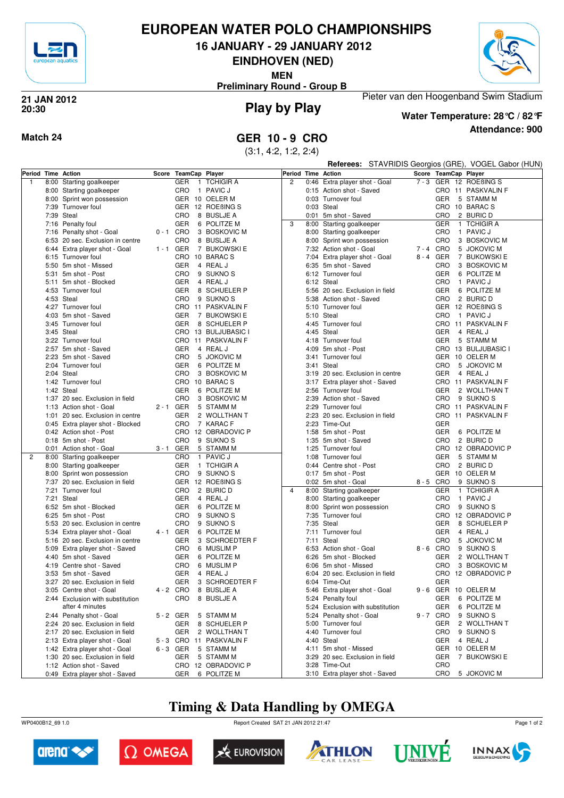

## **EUROPEAN WATER POLO CHAMPIONSHIPS**

**16 JANUARY - 29 JANUARY 2012**

**EINDHOVEN (NED)**

**MEN**

**Preliminary Round - Group B**



## **Play by Play 21 JAN 2012 20:30**



**Water Temperature: 28°C / 82°F**

Pieter van den Hoogenband Swim Stadium

**Attendance: 900**

## **Match 24 GER 10 - 9 CRO**

(3:1, 4:2, 1:2, 2:4)

|              |                                                                    |             |                      |                                          |                    |      |                                            |         |                       | Referees: STAVRIDIS Georgios (GRE), VOGEL Gabor (HUN) |
|--------------|--------------------------------------------------------------------|-------------|----------------------|------------------------------------------|--------------------|------|--------------------------------------------|---------|-----------------------|-------------------------------------------------------|
|              | Period Time Action                                                 |             | Score TeamCap Player |                                          | Period Time Action |      |                                            |         | Score TeamCap Player  |                                                       |
| $\mathbf{1}$ | 8:00 Starting goalkeeper                                           |             | <b>GER</b>           | 1 TCHIGIR A                              | $\overline{c}$     |      | 0:46 Extra player shot - Goal              |         |                       | 7-3 GER 12 ROEBINGS                                   |
|              | 8:00 Starting goalkeeper                                           |             | <b>CRO</b>           | 1 PAVIC J                                |                    |      | 0:15 Action shot - Saved                   |         |                       | CRO 11 PASKVALIN F                                    |
|              | 8:00 Sprint won possession                                         |             | GER 10 OELER M       |                                          |                    |      | 0:03 Turnover foul                         |         | <b>GER</b>            | 5 STAMM M                                             |
|              | 7:39 Turnover foul                                                 |             |                      | GER 12 ROEBING S                         |                    |      | 0:03 Steal                                 |         |                       | CRO 10 BARACS                                         |
|              | 7:39 Steal                                                         |             | <b>CRO</b>           | 8 BUSLJE A                               |                    |      | 0:01 5m shot - Saved                       |         | CRO                   | 2 BURIC D                                             |
|              | 7:16 Penalty foul                                                  |             | GER                  | 6 POLITZE M                              | 3                  |      | 8:00 Starting goalkeeper                   |         | <b>GER</b>            | 1 TCHIGIR A                                           |
|              | 7:16 Penalty shot - Goal                                           | $0 - 1$ CRO |                      | 3 BOSKOVIC M                             |                    |      | 8:00 Starting goalkeeper                   |         | CRO                   | 1 PAVIC J                                             |
|              | 6:53 20 sec. Exclusion in centre                                   |             | CRO                  | 8 BUSLJE A                               |                    |      | 8:00 Sprint won possession                 |         | CRO                   | 3 BOSKOVIC M                                          |
|              | 6:44 Extra player shot - Goal                                      | $1 - 1$ GER |                      | 7 BUKOWSKI E                             |                    |      | 7:32 Action shot - Goal                    | 7-4 CRO |                       | 5 JOKOVIC M                                           |
|              | 6:15 Turnover foul                                                 |             | CRO 10 BARACS        |                                          |                    |      | 7:04 Extra player shot - Goal              |         | 8-4 GER               | 7 BUKOWSKI E                                          |
|              | 5:50 5m shot - Missed                                              |             | <b>GER</b>           | 4 REAL J                                 |                    |      | 6:35 5m shot - Saved                       |         | CRO                   | 3 BOSKOVIC M                                          |
|              | 5:31 5m shot - Post                                                |             | CRO                  | 9 SUKNO <sub>S</sub>                     |                    |      | 6:12 Turnover foul                         |         | GER                   | 6 POLITZE M                                           |
|              | 5:11 5m shot - Blocked                                             |             | <b>GER</b>           | 4 REAL J                                 |                    |      | 6:12 Steal                                 |         | CRO                   | 1 PAVIC J                                             |
|              | 4:53 Turnover foul                                                 |             | <b>GER</b>           | 8 SCHUELER P                             |                    |      | 5:56 20 sec. Exclusion in field            |         | GER                   | 6 POLITZE M                                           |
|              | 4:53 Steal                                                         |             | CRO                  | 9 SUKNO <sub>S</sub>                     |                    |      | 5:38 Action shot - Saved                   |         | CRO                   | 2 BURIC D                                             |
|              | 4:27 Turnover foul                                                 |             |                      | CRO 11 PASKVALIN F                       |                    |      | 5:10 Turnover foul                         |         |                       | GER 12 ROEBING S<br>1 PAVIC J                         |
|              | 4:03 5m shot - Saved<br>3:45 Turnover foul                         |             | GER<br>GER           | 7 BUKOWSKI E<br>8 SCHUELER P             |                    | 5:10 | Steal<br>4:45 Turnover foul                |         | CRO                   | CRO 11 PASKVALIN F                                    |
|              | 3:45 Steal                                                         |             |                      | CRO 13 BULJUBASIC I                      |                    |      | 4:45 Steal                                 |         | <b>GER</b>            | 4 REAL J                                              |
|              | 3:22 Turnover foul                                                 |             |                      | CRO 11 PASKVALIN F                       |                    |      | 4:18 Turnover foul                         |         | <b>GER</b>            | 5 STAMM M                                             |
|              | 2:57 5m shot - Saved                                               |             | GER                  | 4 REAL J                                 |                    |      | 4:09 5m shot - Post                        |         |                       | CRO 13 BULJUBASIC I                                   |
|              | 2:23 5m shot - Saved                                               |             | CRO                  | 5 JOKOVIC M                              |                    |      | 3:41 Turnover foul                         |         |                       | GER 10 OELER M                                        |
|              | 2:04 Turnover foul                                                 |             | <b>GER</b>           | 6 POLITZE M                              |                    |      | 3:41 Steal                                 |         | CRO                   | 5 JOKOVIC M                                           |
|              | 2:04 Steal                                                         |             | CRO                  | 3 BOSKOVIC M                             |                    |      | 3:19 20 sec. Exclusion in centre           |         | GER                   | 4 REAL J                                              |
|              | 1:42 Turnover foul                                                 |             | CRO 10 BARACS        |                                          |                    |      | 3:17 Extra player shot - Saved             |         |                       | CRO 11 PASKVALIN F                                    |
|              | 1:42 Steal                                                         |             | <b>GER</b>           | 6 POLITZE M                              |                    |      | 2:56 Turnover foul                         |         | <b>GER</b>            | 2 WOLLTHAN T                                          |
|              | 1:37 20 sec. Exclusion in field                                    |             | <b>CRO</b>           | 3 BOSKOVIC M                             |                    |      | 2:39 Action shot - Saved                   |         | CRO                   | 9 SUKNO <sub>S</sub>                                  |
|              | 1:13 Action shot - Goal                                            | 2-1 GER     |                      | 5 STAMM M                                |                    |      | 2:29 Turnover foul                         |         |                       | CRO 11 PASKVALIN F                                    |
|              | 1:01 20 sec. Exclusion in centre                                   |             | GER                  | 2 WOLLTHAN T                             |                    |      | 2:23 20 sec. Exclusion in field            |         |                       | CRO 11 PASKVALIN F                                    |
|              | 0:45 Extra player shot - Blocked                                   |             | CRO                  | 7 KARAC F                                |                    |      | 2:23 Time-Out                              |         | <b>GER</b>            |                                                       |
|              | 0:42 Action shot - Post                                            |             |                      | CRO 12 OBRADOVIC P                       |                    |      | 1:58 5m shot - Post                        |         | <b>GER</b>            | 6 POLITZE M                                           |
|              | 0:18 5m shot - Post                                                |             | CRO                  | 9 SUKNO <sub>S</sub>                     |                    |      | 1:35 5m shot - Saved                       |         | CRO                   | 2 BURIC D                                             |
|              | 0:01 Action shot - Goal                                            | 3 - 1       | GER                  | 5 STAMM M                                |                    |      | 1:25 Turnover foul                         |         |                       | CRO 12 OBRADOVIC P                                    |
| 2            | 8:00 Starting goalkeeper                                           |             | <b>CRO</b>           | 1 PAVIC J                                |                    |      | 1:08 Turnover foul                         |         | GER                   | 5 STAMM M                                             |
|              | 8:00 Starting goalkeeper                                           |             | GER                  | 1 TCHIGIR A                              |                    |      | 0:44 Centre shot - Post                    |         | CRO                   | 2 BURIC D                                             |
|              | 8:00 Sprint won possession<br>7:37 20 sec. Exclusion in field      |             | CRO                  | 9 SUKNO <sub>S</sub><br>GER 12 ROEBING S |                    |      | 0:17 5m shot - Post<br>0:02 5m shot - Goal |         | 8-5 CRO               | GER 10 OELER M<br>9 SUKNO <sub>S</sub>                |
|              | 7:21 Turnover foul                                                 |             | CRO                  | 2 BURIC D                                | $\overline{4}$     |      | 8:00 Starting goalkeeper                   |         | <b>GER</b>            | 1 TCHIGIR A                                           |
|              | 7:21 Steal                                                         |             | <b>GER</b>           | 4 REAL J                                 |                    |      | 8:00 Starting goalkeeper                   |         | CRO                   | 1 PAVIC J                                             |
|              | 6:52 5m shot - Blocked                                             |             | GER                  | 6 POLITZE M                              |                    |      | 8:00 Sprint won possession                 |         | CRO                   | 9 SUKNO <sub>S</sub>                                  |
|              | 6:25 5m shot - Post                                                |             | CRO                  | 9 SUKNO <sub>S</sub>                     |                    |      | 7:35 Turnover foul                         |         |                       | CRO 12 OBRADOVIC P                                    |
|              | 5:53 20 sec. Exclusion in centre                                   |             | CRO                  | 9 SUKNO <sub>S</sub>                     |                    |      | 7:35 Steal                                 |         | GER                   | 8 SCHUELER P                                          |
|              | 5:34 Extra player shot - Goal                                      | 4 - 1 GER   |                      | 6 POLITZE M                              |                    |      | 7:11 Turnover foul                         |         | GER                   | 4 REAL J                                              |
|              | 5:16 20 sec. Exclusion in centre                                   |             | GER                  | 3 SCHROEDTER F                           |                    |      | 7:11 Steal                                 |         | CRO                   | 5 JOKOVIC M                                           |
|              | 5:09 Extra player shot - Saved                                     |             | CRO                  | 6 MUSLIM P                               |                    |      | 6:53 Action shot - Goal                    |         | 8-6 CRO               | 9 SUKNO <sub>S</sub>                                  |
|              | 4:40 5m shot - Saved                                               |             | GER                  | 6 POLITZE M                              |                    |      | 6:26 5m shot - Blocked                     |         | GER                   | 2 WOLLTHAN T                                          |
|              | 4:19 Centre shot - Saved                                           |             | <b>CRO</b>           | 6 MUSLIM P                               |                    |      | 6:06 5m shot - Missed                      |         | CRO                   | 3 BOSKOVIC M                                          |
|              | 3:53 5m shot - Saved                                               |             | GER                  | 4 REAL J                                 |                    |      | 6:04 20 sec. Exclusion in field            |         |                       | CRO 12 OBRADOVIC P                                    |
|              | 3:27 20 sec. Exclusion in field                                    |             | <b>GER</b>           | 3 SCHROEDTER F                           |                    |      | 6:04 Time-Out                              |         | <b>GER</b>            |                                                       |
|              | 3:05 Centre shot - Goal                                            | 4 - 2 CRO   |                      | 8 BUSLJE A                               |                    |      | 5:46 Extra player shot - Goal              |         |                       | 9 - 6 GER 10 OELER M                                  |
|              | 2:44 Exclusion with substitution                                   |             | CRO                  | 8 BUSLJE A                               |                    |      | 5:24 Penalty foul                          |         | GER                   | 6 POLITZE M                                           |
|              | after 4 minutes                                                    |             |                      |                                          |                    |      | 5:24 Exclusion with substitution           |         | <b>GER</b>            | 6 POLITZE M                                           |
|              | 2:44 Penalty shot - Goal                                           | 5-2 GER     |                      | 5 STAMM M                                |                    |      | 5:24 Penalty shot - Goal                   |         | 9-7 CRO<br><b>GER</b> | 9 SUKNO <sub>S</sub><br>2 WOLLTHAN T                  |
|              | 2:24 20 sec. Exclusion in field<br>2:17 20 sec. Exclusion in field |             | GER<br>GER           | 8 SCHUELER P<br>2 WOLLTHAN T             |                    |      | 5:00 Turnover foul<br>4:40 Turnover foul   |         | CRO                   | 9 SUKNO <sub>S</sub>                                  |
|              | 2:13 Extra player shot - Goal                                      |             |                      | 5 - 3 CRO 11 PASKVALIN F                 |                    |      | 4:40 Steal                                 |         | <b>GER</b>            | 4 REAL J                                              |
|              | 1:42 Extra player shot - Goal                                      | 6-3 GER     |                      | 5 STAMM M                                |                    |      | 4:11 5m shot - Missed                      |         |                       | GER 10 OELER M                                        |
|              | 1:30 20 sec. Exclusion in field                                    |             | GER                  | 5 STAMM M                                |                    |      | 3:29 20 sec. Exclusion in field            |         | GER                   | 7 BUKOWSKI E                                          |
|              | 1:12 Action shot - Saved                                           |             |                      | CRO 12 OBRADOVIC P                       |                    |      | 3:28 Time-Out                              |         | <b>CRO</b>            |                                                       |
|              | 0:49 Extra player shot - Saved                                     |             |                      | GER 6 POLITZE M                          |                    |      | 3:10 Extra player shot - Saved             |         |                       | CRO 5 JOKOVIC M                                       |

# **Timing & Data Handling by OMEGA**

WP0400B12\_69 1.0 Report Created SAT 21 JAN 2012 21:47













Page 1 of 2